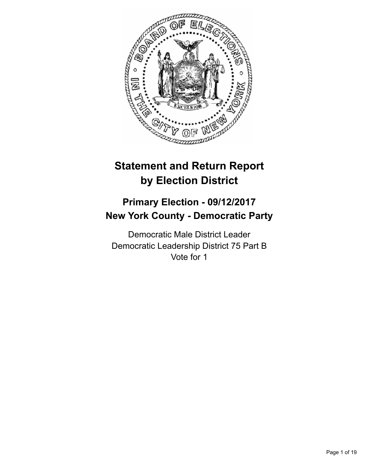

# **Statement and Return Report by Election District**

## **Primary Election - 09/12/2017 New York County - Democratic Party**

Democratic Male District Leader Democratic Leadership District 75 Part B Vote for 1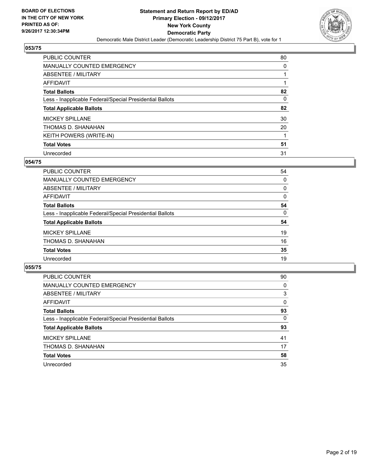

| <b>PUBLIC COUNTER</b>                                    | 80 |
|----------------------------------------------------------|----|
| <b>MANUALLY COUNTED EMERGENCY</b>                        | 0  |
| ABSENTEE / MILITARY                                      |    |
| AFFIDAVIT                                                |    |
| <b>Total Ballots</b>                                     | 82 |
| Less - Inapplicable Federal/Special Presidential Ballots | 0  |
| <b>Total Applicable Ballots</b>                          | 82 |
| <b>MICKEY SPILLANE</b>                                   | 30 |
| THOMAS D. SHANAHAN                                       | 20 |
| <b>KEITH POWERS (WRITE-IN)</b>                           |    |
| <b>Total Votes</b>                                       | 51 |
| Unrecorded                                               | 31 |

## **054/75**

| <b>PUBLIC COUNTER</b>                                    | 54 |
|----------------------------------------------------------|----|
| <b>MANUALLY COUNTED EMERGENCY</b>                        | 0  |
| ABSENTEE / MILITARY                                      | 0  |
| AFFIDAVIT                                                | 0  |
| <b>Total Ballots</b>                                     | 54 |
| Less - Inapplicable Federal/Special Presidential Ballots | 0  |
| <b>Total Applicable Ballots</b>                          | 54 |
| <b>MICKEY SPILLANE</b>                                   | 19 |
| THOMAS D. SHANAHAN                                       | 16 |
| <b>Total Votes</b>                                       | 35 |
| Unrecorded                                               | 19 |

| <b>PUBLIC COUNTER</b>                                    | 90 |
|----------------------------------------------------------|----|
| MANUALLY COUNTED EMERGENCY                               | 0  |
| ABSENTEE / MILITARY                                      | 3  |
| AFFIDAVIT                                                | 0  |
| <b>Total Ballots</b>                                     | 93 |
| Less - Inapplicable Federal/Special Presidential Ballots | 0  |
| <b>Total Applicable Ballots</b>                          | 93 |
| <b>MICKEY SPILLANE</b>                                   | 41 |
| THOMAS D. SHANAHAN                                       | 17 |
| <b>Total Votes</b>                                       | 58 |
| Unrecorded                                               | 35 |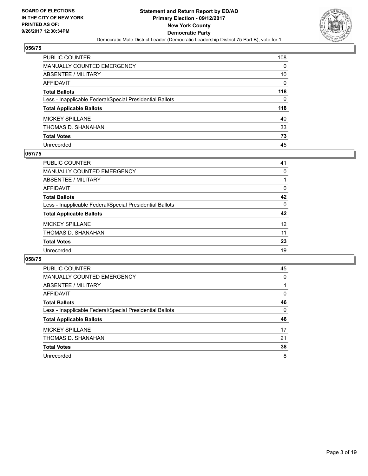

| PUBLIC COUNTER                                           | 108 |
|----------------------------------------------------------|-----|
| <b>MANUALLY COUNTED EMERGENCY</b>                        | 0   |
| <b>ABSENTEE / MILITARY</b>                               | 10  |
| <b>AFFIDAVIT</b>                                         | 0   |
| <b>Total Ballots</b>                                     | 118 |
| Less - Inapplicable Federal/Special Presidential Ballots | 0   |
| <b>Total Applicable Ballots</b>                          | 118 |
| <b>MICKEY SPILLANE</b>                                   | 40  |
| THOMAS D. SHANAHAN                                       | 33  |
| <b>Total Votes</b>                                       | 73  |
| Unrecorded                                               | 45  |

## **057/75**

| PUBLIC COUNTER                                           | 41 |
|----------------------------------------------------------|----|
| <b>MANUALLY COUNTED EMERGENCY</b>                        | 0  |
| ABSENTEE / MILITARY                                      |    |
| AFFIDAVIT                                                | 0  |
| <b>Total Ballots</b>                                     | 42 |
| Less - Inapplicable Federal/Special Presidential Ballots | 0  |
| <b>Total Applicable Ballots</b>                          | 42 |
| <b>MICKEY SPILLANE</b>                                   | 12 |
| THOMAS D. SHANAHAN                                       | 11 |
| <b>Total Votes</b>                                       | 23 |
| Unrecorded                                               | 19 |

| <b>PUBLIC COUNTER</b>                                    | 45 |
|----------------------------------------------------------|----|
| <b>MANUALLY COUNTED EMERGENCY</b>                        | 0  |
| ABSENTEE / MILITARY                                      |    |
| <b>AFFIDAVIT</b>                                         | 0  |
| <b>Total Ballots</b>                                     | 46 |
| Less - Inapplicable Federal/Special Presidential Ballots | 0  |
| <b>Total Applicable Ballots</b>                          | 46 |
| <b>MICKEY SPILLANE</b>                                   | 17 |
|                                                          |    |
| THOMAS D. SHANAHAN                                       | 21 |
| <b>Total Votes</b>                                       | 38 |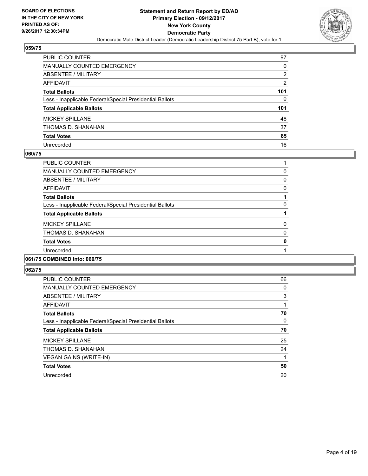

| PUBLIC COUNTER                                           | 97  |
|----------------------------------------------------------|-----|
| <b>MANUALLY COUNTED EMERGENCY</b>                        | 0   |
| <b>ABSENTEE / MILITARY</b>                               | 2   |
| <b>AFFIDAVIT</b>                                         | 2   |
| <b>Total Ballots</b>                                     | 101 |
| Less - Inapplicable Federal/Special Presidential Ballots | 0   |
| <b>Total Applicable Ballots</b>                          | 101 |
| <b>MICKEY SPILLANE</b>                                   | 48  |
| THOMAS D. SHANAHAN                                       | 37  |
| <b>Total Votes</b>                                       | 85  |
| Unrecorded                                               | 16  |

### **060/75**

| <b>PUBLIC COUNTER</b>                                    |   |
|----------------------------------------------------------|---|
| MANUALLY COUNTED EMERGENCY                               | 0 |
| ABSENTEE / MILITARY                                      | 0 |
| AFFIDAVIT                                                | 0 |
| <b>Total Ballots</b>                                     |   |
| Less - Inapplicable Federal/Special Presidential Ballots | 0 |
| <b>Total Applicable Ballots</b>                          |   |
| <b>MICKEY SPILLANE</b>                                   | 0 |
| THOMAS D. SHANAHAN                                       | 0 |
| <b>Total Votes</b>                                       | 0 |
| Unrecorded                                               |   |
|                                                          |   |

## **061/75 COMBINED into: 060/75**

| <b>PUBLIC COUNTER</b>                                    | 66 |
|----------------------------------------------------------|----|
| <b>MANUALLY COUNTED EMERGENCY</b>                        | 0  |
| ABSENTEE / MILITARY                                      | 3  |
| <b>AFFIDAVIT</b>                                         |    |
| <b>Total Ballots</b>                                     | 70 |
| Less - Inapplicable Federal/Special Presidential Ballots | 0  |
| <b>Total Applicable Ballots</b>                          | 70 |
| <b>MICKEY SPILLANE</b>                                   | 25 |
| THOMAS D. SHANAHAN                                       | 24 |
| <b>VEGAN GAINS (WRITE-IN)</b>                            |    |
| <b>Total Votes</b>                                       | 50 |
| Unrecorded                                               | 20 |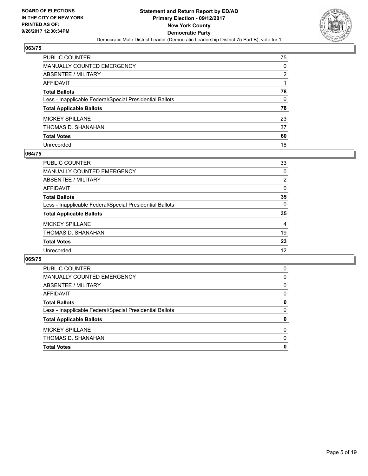

| PUBLIC COUNTER                                           | 75           |
|----------------------------------------------------------|--------------|
| <b>MANUALLY COUNTED EMERGENCY</b>                        | 0            |
| ABSENTEE / MILITARY                                      | 2            |
| <b>AFFIDAVIT</b>                                         |              |
| <b>Total Ballots</b>                                     | 78           |
| Less - Inapplicable Federal/Special Presidential Ballots | $\mathbf{0}$ |
| <b>Total Applicable Ballots</b>                          | 78           |
| <b>MICKEY SPILLANE</b>                                   | 23           |
| THOMAS D. SHANAHAN                                       | 37           |
| <b>Total Votes</b>                                       | 60           |
| Unrecorded                                               | 18           |

## **064/75**

| PUBLIC COUNTER                                           | 33       |
|----------------------------------------------------------|----------|
| MANUALLY COUNTED EMERGENCY                               | 0        |
| ABSENTEE / MILITARY                                      | 2        |
| AFFIDAVIT                                                | 0        |
| <b>Total Ballots</b>                                     | 35       |
| Less - Inapplicable Federal/Special Presidential Ballots | $\Omega$ |
| <b>Total Applicable Ballots</b>                          | 35       |
| <b>MICKEY SPILLANE</b>                                   | 4        |
| THOMAS D. SHANAHAN                                       | 19       |
| <b>Total Votes</b>                                       | 23       |
| Unrecorded                                               | 12       |

| <b>PUBLIC COUNTER</b>                                    | 0        |
|----------------------------------------------------------|----------|
| MANUALLY COUNTED EMERGENCY                               | 0        |
| ABSENTEE / MILITARY                                      | 0        |
| AFFIDAVIT                                                | 0        |
| <b>Total Ballots</b>                                     | 0        |
| Less - Inapplicable Federal/Special Presidential Ballots | $\Omega$ |
| <b>Total Applicable Ballots</b>                          | 0        |
| <b>MICKEY SPILLANE</b>                                   | $\Omega$ |
| THOMAS D. SHANAHAN                                       | $\Omega$ |
| <b>Total Votes</b>                                       | 0        |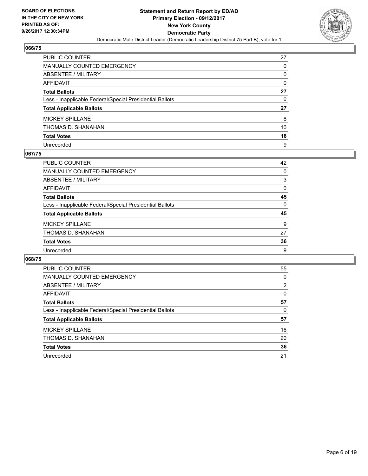

| PUBLIC COUNTER                                           | 27 |
|----------------------------------------------------------|----|
| <b>MANUALLY COUNTED EMERGENCY</b>                        | 0  |
| <b>ABSENTEE / MILITARY</b>                               | 0  |
| <b>AFFIDAVIT</b>                                         | 0  |
| <b>Total Ballots</b>                                     | 27 |
| Less - Inapplicable Federal/Special Presidential Ballots | 0  |
| <b>Total Applicable Ballots</b>                          | 27 |
| <b>MICKEY SPILLANE</b>                                   | 8  |
| THOMAS D. SHANAHAN                                       | 10 |
| <b>Total Votes</b>                                       | 18 |
| Unrecorded                                               | 9  |

## **067/75**

| <b>PUBLIC COUNTER</b>                                    | 42       |
|----------------------------------------------------------|----------|
| <b>MANUALLY COUNTED EMERGENCY</b>                        | 0        |
| ABSENTEE / MILITARY                                      | 3        |
| AFFIDAVIT                                                | 0        |
| <b>Total Ballots</b>                                     | 45       |
| Less - Inapplicable Federal/Special Presidential Ballots | $\Omega$ |
| <b>Total Applicable Ballots</b>                          | 45       |
| <b>MICKEY SPILLANE</b>                                   | 9        |
| THOMAS D. SHANAHAN                                       | 27       |
| <b>Total Votes</b>                                       | 36       |
| Unrecorded                                               | 9        |

| PUBLIC COUNTER                                           | 55 |
|----------------------------------------------------------|----|
| <b>MANUALLY COUNTED EMERGENCY</b>                        | 0  |
| ABSENTEE / MILITARY                                      | 2  |
| <b>AFFIDAVIT</b>                                         | 0  |
| <b>Total Ballots</b>                                     | 57 |
| Less - Inapplicable Federal/Special Presidential Ballots | 0  |
| <b>Total Applicable Ballots</b>                          | 57 |
| <b>MICKEY SPILLANE</b>                                   | 16 |
| THOMAS D. SHANAHAN                                       | 20 |
| <b>Total Votes</b>                                       | 36 |
| Unrecorded                                               | 21 |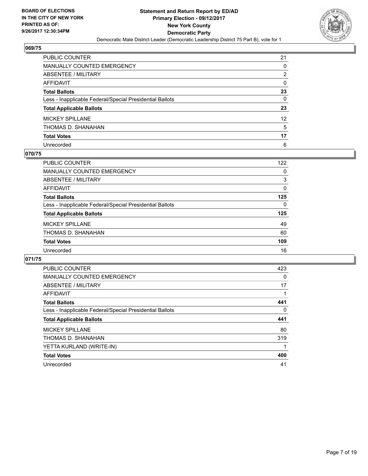

| <b>PUBLIC COUNTER</b>                                    | 21           |
|----------------------------------------------------------|--------------|
| <b>MANUALLY COUNTED EMERGENCY</b>                        | 0            |
| ABSENTEE / MILITARY                                      | 2            |
| <b>AFFIDAVIT</b>                                         | 0            |
| <b>Total Ballots</b>                                     | 23           |
| Less - Inapplicable Federal/Special Presidential Ballots | $\mathbf{0}$ |
| <b>Total Applicable Ballots</b>                          | 23           |
| <b>MICKEY SPILLANE</b>                                   | 12           |
| THOMAS D. SHANAHAN                                       | 5            |
| <b>Total Votes</b>                                       | 17           |
| Unrecorded                                               | 6            |

## **070/75**

| PUBLIC COUNTER                                           | 122      |
|----------------------------------------------------------|----------|
| MANUALLY COUNTED EMERGENCY                               | 0        |
| ABSENTEE / MILITARY                                      | 3        |
| AFFIDAVIT                                                | $\Omega$ |
| <b>Total Ballots</b>                                     | 125      |
| Less - Inapplicable Federal/Special Presidential Ballots | 0        |
| <b>Total Applicable Ballots</b>                          | 125      |
| <b>MICKEY SPILLANE</b>                                   | 49       |
| THOMAS D. SHANAHAN                                       | 60       |
| <b>Total Votes</b>                                       | 109      |
| Unrecorded                                               | 16       |

| PUBLIC COUNTER                                           | 423 |
|----------------------------------------------------------|-----|
| <b>MANUALLY COUNTED EMERGENCY</b>                        | 0   |
| ABSENTEE / MILITARY                                      | 17  |
| <b>AFFIDAVIT</b>                                         |     |
| <b>Total Ballots</b>                                     | 441 |
| Less - Inapplicable Federal/Special Presidential Ballots | 0   |
|                                                          |     |
| <b>Total Applicable Ballots</b>                          | 441 |
| <b>MICKEY SPILLANE</b>                                   | 80  |
| THOMAS D. SHANAHAN                                       | 319 |
| YETTA KURLAND (WRITE-IN)                                 |     |
| <b>Total Votes</b>                                       | 400 |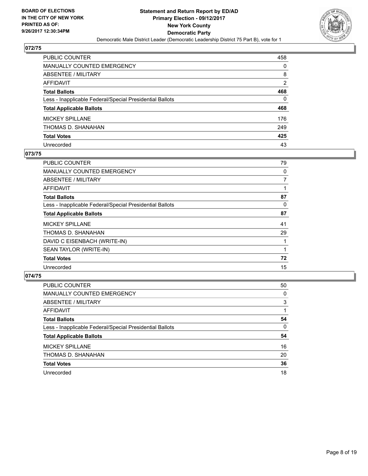

| PUBLIC COUNTER                                           | 458      |
|----------------------------------------------------------|----------|
| <b>MANUALLY COUNTED EMERGENCY</b>                        | 0        |
| <b>ABSENTEE / MILITARY</b>                               | 8        |
| AFFIDAVIT                                                | 2        |
| <b>Total Ballots</b>                                     | 468      |
| Less - Inapplicable Federal/Special Presidential Ballots | $\Omega$ |
| <b>Total Applicable Ballots</b>                          | 468      |
| <b>MICKEY SPILLANE</b>                                   | 176      |
| THOMAS D. SHANAHAN                                       | 249      |
| <b>Total Votes</b>                                       | 425      |
| Unrecorded                                               | 43       |

## **073/75**

| 79 |
|----|
| 0  |
| 7  |
|    |
| 87 |
| 0  |
| 87 |
| 41 |
| 29 |
|    |
|    |
| 72 |
| 15 |
|    |

| <b>PUBLIC COUNTER</b>                                    | 50 |
|----------------------------------------------------------|----|
| <b>MANUALLY COUNTED EMERGENCY</b>                        | 0  |
| ABSENTEE / MILITARY                                      | 3  |
| AFFIDAVIT                                                |    |
| <b>Total Ballots</b>                                     | 54 |
| Less - Inapplicable Federal/Special Presidential Ballots | 0  |
| <b>Total Applicable Ballots</b>                          | 54 |
| <b>MICKEY SPILLANE</b>                                   | 16 |
| THOMAS D. SHANAHAN                                       | 20 |
| <b>Total Votes</b>                                       | 36 |
| Unrecorded                                               | 18 |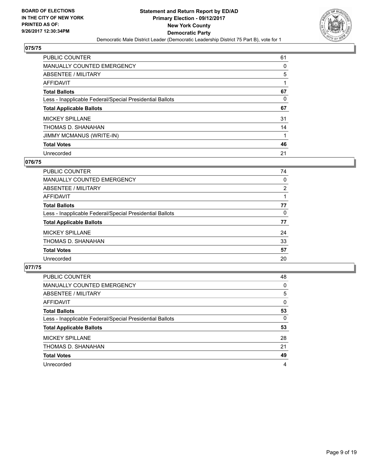

| <b>PUBLIC COUNTER</b>                                    | 61 |
|----------------------------------------------------------|----|
| <b>MANUALLY COUNTED EMERGENCY</b>                        | 0  |
| ABSENTEE / MILITARY                                      | 5  |
| AFFIDAVIT                                                |    |
| <b>Total Ballots</b>                                     | 67 |
| Less - Inapplicable Federal/Special Presidential Ballots | 0  |
| <b>Total Applicable Ballots</b>                          | 67 |
| <b>MICKEY SPILLANE</b>                                   | 31 |
| THOMAS D. SHANAHAN                                       | 14 |
| <b>JIMMY MCMANUS (WRITE-IN)</b>                          |    |
| <b>Total Votes</b>                                       | 46 |
|                                                          |    |

## **076/75**

| PUBLIC COUNTER                                           | 74 |
|----------------------------------------------------------|----|
| <b>MANUALLY COUNTED EMERGENCY</b>                        | 0  |
| ABSENTEE / MILITARY                                      | 2  |
| AFFIDAVIT                                                |    |
| <b>Total Ballots</b>                                     | 77 |
| Less - Inapplicable Federal/Special Presidential Ballots | 0  |
| <b>Total Applicable Ballots</b>                          | 77 |
| <b>MICKEY SPILLANE</b>                                   | 24 |
| THOMAS D. SHANAHAN                                       | 33 |
| <b>Total Votes</b>                                       | 57 |
| Unrecorded                                               | 20 |
|                                                          |    |

| PUBLIC COUNTER                                           | 48 |
|----------------------------------------------------------|----|
| MANUALLY COUNTED EMERGENCY                               | 0  |
| ABSENTEE / MILITARY                                      | 5  |
| AFFIDAVIT                                                | 0  |
| <b>Total Ballots</b>                                     | 53 |
| Less - Inapplicable Federal/Special Presidential Ballots | 0  |
| <b>Total Applicable Ballots</b>                          | 53 |
| <b>MICKEY SPILLANE</b>                                   | 28 |
| THOMAS D. SHANAHAN                                       | 21 |
| <b>Total Votes</b>                                       | 49 |
| Unrecorded                                               | 4  |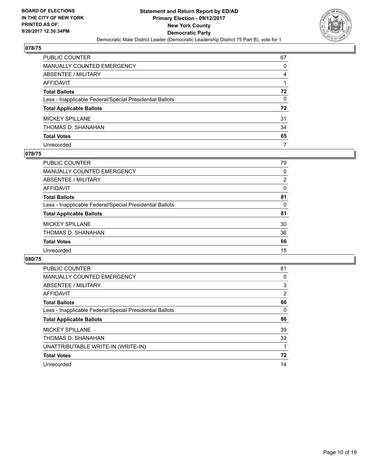

| PUBLIC COUNTER                                           | 67 |
|----------------------------------------------------------|----|
| <b>MANUALLY COUNTED EMERGENCY</b>                        | 0  |
| ABSENTEE / MILITARY                                      | 4  |
| AFFIDAVIT                                                |    |
| <b>Total Ballots</b>                                     | 72 |
| Less - Inapplicable Federal/Special Presidential Ballots | 0  |
| <b>Total Applicable Ballots</b>                          | 72 |
| <b>MICKEY SPILLANE</b>                                   | 31 |
| THOMAS D. SHANAHAN                                       | 34 |
| <b>Total Votes</b>                                       | 65 |
| Unrecorded                                               | 7  |

## **079/75**

| PUBLIC COUNTER                                           | 79 |
|----------------------------------------------------------|----|
| MANUALLY COUNTED EMERGENCY                               | 0  |
| ABSENTEE / MILITARY                                      | 2  |
| AFFIDAVIT                                                | 0  |
| <b>Total Ballots</b>                                     | 81 |
| Less - Inapplicable Federal/Special Presidential Ballots | 0  |
| <b>Total Applicable Ballots</b>                          | 81 |
| <b>MICKEY SPILLANE</b>                                   | 30 |
| THOMAS D. SHANAHAN                                       | 36 |
| <b>Total Votes</b>                                       | 66 |
| Unrecorded                                               | 15 |
|                                                          |    |

| PUBLIC COUNTER                                           | 81 |
|----------------------------------------------------------|----|
| <b>MANUALLY COUNTED EMERGENCY</b>                        | 0  |
| ABSENTEE / MILITARY                                      | 3  |
| AFFIDAVIT                                                | 2  |
| <b>Total Ballots</b>                                     | 86 |
| Less - Inapplicable Federal/Special Presidential Ballots | 0  |
| <b>Total Applicable Ballots</b>                          | 86 |
| <b>MICKEY SPILLANE</b>                                   | 39 |
| THOMAS D. SHANAHAN                                       | 32 |
| UNATTRIBUTABLE WRITE-IN (WRITE-IN)                       |    |
| <b>Total Votes</b>                                       | 72 |
| Unrecorded                                               | 14 |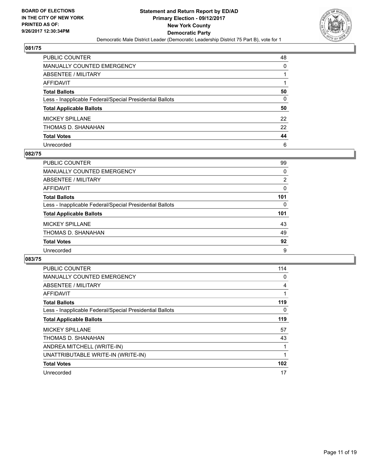

| <b>PUBLIC COUNTER</b>                                    | 48 |
|----------------------------------------------------------|----|
| <b>MANUALLY COUNTED EMERGENCY</b>                        | 0  |
| ABSENTEE / MILITARY                                      |    |
| <b>AFFIDAVIT</b>                                         |    |
| <b>Total Ballots</b>                                     | 50 |
| Less - Inapplicable Federal/Special Presidential Ballots | 0  |
| <b>Total Applicable Ballots</b>                          | 50 |
| <b>MICKEY SPILLANE</b>                                   | 22 |
| THOMAS D. SHANAHAN                                       | 22 |
| <b>Total Votes</b>                                       | 44 |
| Unrecorded                                               | 6  |

## **082/75**

| <b>PUBLIC COUNTER</b>                                    | 99  |
|----------------------------------------------------------|-----|
| MANUALLY COUNTED EMERGENCY                               | 0   |
| ABSENTEE / MILITARY                                      | 2   |
| AFFIDAVIT                                                | 0   |
| <b>Total Ballots</b>                                     | 101 |
| Less - Inapplicable Federal/Special Presidential Ballots | 0   |
| <b>Total Applicable Ballots</b>                          | 101 |
| <b>MICKEY SPILLANE</b>                                   | 43  |
| THOMAS D. SHANAHAN                                       | 49  |
| <b>Total Votes</b>                                       | 92  |
| Unrecorded                                               | 9   |

| <b>PUBLIC COUNTER</b>                                    | 114 |
|----------------------------------------------------------|-----|
| <b>MANUALLY COUNTED EMERGENCY</b>                        | 0   |
| ABSENTEE / MILITARY                                      | 4   |
| AFFIDAVIT                                                |     |
| <b>Total Ballots</b>                                     | 119 |
| Less - Inapplicable Federal/Special Presidential Ballots | 0   |
| <b>Total Applicable Ballots</b>                          | 119 |
| <b>MICKEY SPILLANE</b>                                   | 57  |
| THOMAS D. SHANAHAN                                       | 43  |
| ANDREA MITCHELL (WRITE-IN)                               |     |
| UNATTRIBUTABLE WRITE-IN (WRITE-IN)                       | 1   |
| <b>Total Votes</b>                                       | 102 |
| Unrecorded                                               | 17  |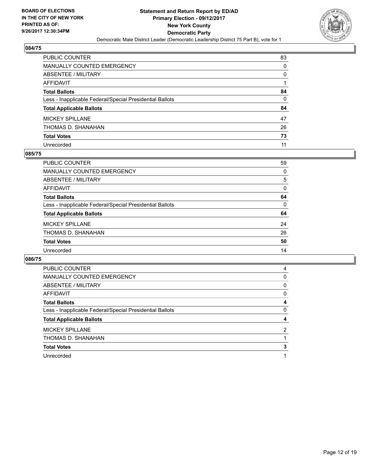

| <b>PUBLIC COUNTER</b>                                    | 83 |
|----------------------------------------------------------|----|
| <b>MANUALLY COUNTED EMERGENCY</b>                        | 0  |
| ABSENTEE / MILITARY                                      | 0  |
| <b>AFFIDAVIT</b>                                         |    |
| <b>Total Ballots</b>                                     | 84 |
| Less - Inapplicable Federal/Special Presidential Ballots | 0  |
| <b>Total Applicable Ballots</b>                          | 84 |
| <b>MICKEY SPILLANE</b>                                   | 47 |
| THOMAS D. SHANAHAN                                       | 26 |
| <b>Total Votes</b>                                       | 73 |
| Unrecorded                                               | 11 |

## **085/75**

| PUBLIC COUNTER                                           | 59       |
|----------------------------------------------------------|----------|
| MANUALLY COUNTED EMERGENCY                               | 0        |
| ABSENTEE / MILITARY                                      | 5        |
| AFFIDAVIT                                                | $\Omega$ |
| <b>Total Ballots</b>                                     | 64       |
| Less - Inapplicable Federal/Special Presidential Ballots | 0        |
| <b>Total Applicable Ballots</b>                          | 64       |
| <b>MICKEY SPILLANE</b>                                   | 24       |
| THOMAS D. SHANAHAN                                       | 26       |
| <b>Total Votes</b>                                       | 50       |
| Unrecorded                                               | 14       |
|                                                          |          |

| <b>PUBLIC COUNTER</b>                                    | 4 |
|----------------------------------------------------------|---|
| <b>MANUALLY COUNTED EMERGENCY</b>                        | 0 |
| ABSENTEE / MILITARY                                      | 0 |
| <b>AFFIDAVIT</b>                                         | 0 |
| <b>Total Ballots</b>                                     | 4 |
| Less - Inapplicable Federal/Special Presidential Ballots | 0 |
| <b>Total Applicable Ballots</b>                          | 4 |
| <b>MICKEY SPILLANE</b>                                   | 2 |
| THOMAS D. SHANAHAN                                       |   |
| <b>Total Votes</b>                                       | 3 |
| Unrecorded                                               |   |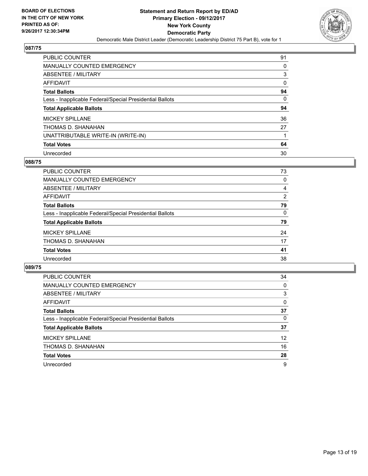

| <b>PUBLIC COUNTER</b>                                    | 91 |
|----------------------------------------------------------|----|
| <b>MANUALLY COUNTED EMERGENCY</b>                        | 0  |
| ABSENTEE / MILITARY                                      | 3  |
| AFFIDAVIT                                                | 0  |
| <b>Total Ballots</b>                                     | 94 |
| Less - Inapplicable Federal/Special Presidential Ballots | 0  |
| <b>Total Applicable Ballots</b>                          | 94 |
| <b>MICKEY SPILLANE</b>                                   | 36 |
| THOMAS D. SHANAHAN                                       | 27 |
| UNATTRIBUTABLE WRITE-IN (WRITE-IN)                       |    |
| <b>Total Votes</b>                                       | 64 |
| Unrecorded                                               | 30 |

## **088/75**

| PUBLIC COUNTER                                           | 73       |
|----------------------------------------------------------|----------|
| MANUALLY COUNTED EMERGENCY                               | 0        |
| ABSENTEE / MILITARY                                      | 4        |
| AFFIDAVIT                                                | 2        |
| <b>Total Ballots</b>                                     | 79       |
| Less - Inapplicable Federal/Special Presidential Ballots | $\Omega$ |
| <b>Total Applicable Ballots</b>                          | 79       |
| <b>MICKEY SPILLANE</b>                                   | 24       |
| THOMAS D. SHANAHAN                                       | 17       |
| <b>Total Votes</b>                                       | 41       |
| Unrecorded                                               | 38       |

| PUBLIC COUNTER                                           | 34                |
|----------------------------------------------------------|-------------------|
| MANUALLY COUNTED EMERGENCY                               | 0                 |
| ABSENTEE / MILITARY                                      | 3                 |
| AFFIDAVIT                                                | 0                 |
| <b>Total Ballots</b>                                     | 37                |
| Less - Inapplicable Federal/Special Presidential Ballots | 0                 |
| <b>Total Applicable Ballots</b>                          | 37                |
| <b>MICKEY SPILLANE</b>                                   | $12 \overline{ }$ |
| THOMAS D. SHANAHAN                                       | 16                |
| <b>Total Votes</b>                                       | 28                |
| Unrecorded                                               | 9                 |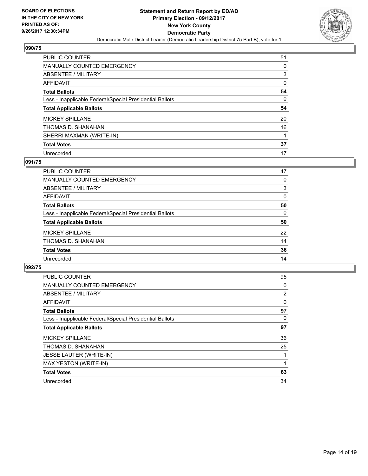

| <b>PUBLIC COUNTER</b>                                    | 51 |
|----------------------------------------------------------|----|
| <b>MANUALLY COUNTED EMERGENCY</b>                        | 0  |
| ABSENTEE / MILITARY                                      | 3  |
| AFFIDAVIT                                                | 0  |
| <b>Total Ballots</b>                                     | 54 |
| Less - Inapplicable Federal/Special Presidential Ballots | 0  |
| <b>Total Applicable Ballots</b>                          | 54 |
| <b>MICKEY SPILLANE</b>                                   | 20 |
| THOMAS D. SHANAHAN                                       | 16 |
| SHERRI MAXMAN (WRITE-IN)                                 |    |
| <b>Total Votes</b>                                       | 37 |
| Unrecorded                                               | 17 |

## **091/75**

| <b>PUBLIC COUNTER</b>                                    | 47 |
|----------------------------------------------------------|----|
| <b>MANUALLY COUNTED EMERGENCY</b>                        | 0  |
| ABSENTEE / MILITARY                                      | 3  |
| AFFIDAVIT                                                | 0  |
| <b>Total Ballots</b>                                     | 50 |
| Less - Inapplicable Federal/Special Presidential Ballots | 0  |
| <b>Total Applicable Ballots</b>                          | 50 |
| <b>MICKEY SPILLANE</b>                                   | 22 |
| THOMAS D. SHANAHAN                                       | 14 |
| <b>Total Votes</b>                                       | 36 |
| Unrecorded                                               | 14 |

| <b>PUBLIC COUNTER</b>                                    | 95             |
|----------------------------------------------------------|----------------|
| MANUALLY COUNTED EMERGENCY                               | 0              |
| ABSENTEE / MILITARY                                      | $\overline{2}$ |
| <b>AFFIDAVIT</b>                                         | 0              |
| <b>Total Ballots</b>                                     | 97             |
| Less - Inapplicable Federal/Special Presidential Ballots | 0              |
| <b>Total Applicable Ballots</b>                          | 97             |
| <b>MICKEY SPILLANE</b>                                   | 36             |
| THOMAS D. SHANAHAN                                       | 25             |
| <b>JESSE LAUTER (WRITE-IN)</b>                           |                |
| MAX YESTON (WRITE-IN)                                    | 1              |
| <b>Total Votes</b>                                       | 63             |
| Unrecorded                                               | 34             |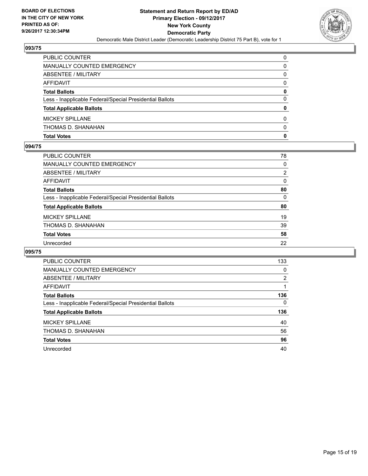

| <b>Total Votes</b>                                       | 0        |
|----------------------------------------------------------|----------|
| THOMAS D. SHANAHAN                                       | 0        |
| <b>MICKEY SPILLANE</b>                                   | 0        |
| <b>Total Applicable Ballots</b>                          | 0        |
| Less - Inapplicable Federal/Special Presidential Ballots | 0        |
| <b>Total Ballots</b>                                     | 0        |
| AFFIDAVIT                                                | 0        |
| ABSENTEE / MILITARY                                      | 0        |
| MANUALLY COUNTED EMERGENCY                               | 0        |
| <b>PUBLIC COUNTER</b>                                    | $\Omega$ |

## **094/75**

| <b>PUBLIC COUNTER</b>                                    | 78       |
|----------------------------------------------------------|----------|
| <b>MANUALLY COUNTED EMERGENCY</b>                        | 0        |
| ABSENTEE / MILITARY                                      | 2        |
| AFFIDAVIT                                                | 0        |
| <b>Total Ballots</b>                                     | 80       |
| Less - Inapplicable Federal/Special Presidential Ballots | $\Omega$ |
| <b>Total Applicable Ballots</b>                          | 80       |
| <b>MICKEY SPILLANE</b>                                   | 19       |
| THOMAS D. SHANAHAN                                       | 39       |
| <b>Total Votes</b>                                       | 58       |
| Unrecorded                                               | 22       |
|                                                          |          |

| <b>PUBLIC COUNTER</b>                                    | 133            |
|----------------------------------------------------------|----------------|
| <b>MANUALLY COUNTED EMERGENCY</b>                        | 0              |
| <b>ABSENTEE / MILITARY</b>                               | $\overline{2}$ |
| AFFIDAVIT                                                |                |
| <b>Total Ballots</b>                                     | 136            |
| Less - Inapplicable Federal/Special Presidential Ballots | 0              |
| <b>Total Applicable Ballots</b>                          | 136            |
| <b>MICKEY SPILLANE</b>                                   | 40             |
| THOMAS D. SHANAHAN                                       | 56             |
| <b>Total Votes</b>                                       | 96             |
| Unrecorded                                               | 40             |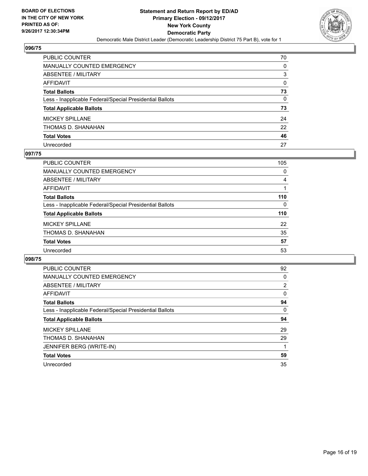

| <b>PUBLIC COUNTER</b>                                    | 70           |
|----------------------------------------------------------|--------------|
| <b>MANUALLY COUNTED EMERGENCY</b>                        | 0            |
| ABSENTEE / MILITARY                                      | 3            |
| <b>AFFIDAVIT</b>                                         | 0            |
| <b>Total Ballots</b>                                     | 73           |
| Less - Inapplicable Federal/Special Presidential Ballots | $\mathbf{0}$ |
| <b>Total Applicable Ballots</b>                          | 73           |
| <b>MICKEY SPILLANE</b>                                   | 24           |
| THOMAS D. SHANAHAN                                       | 22           |
| <b>Total Votes</b>                                       | 46           |
| Unrecorded                                               | 27           |

## **097/75**

| PUBLIC COUNTER                                           | 105 |
|----------------------------------------------------------|-----|
| MANUALLY COUNTED EMERGENCY                               | 0   |
| ABSENTEE / MILITARY                                      | 4   |
| AFFIDAVIT                                                |     |
| <b>Total Ballots</b>                                     | 110 |
| Less - Inapplicable Federal/Special Presidential Ballots | 0   |
| <b>Total Applicable Ballots</b>                          | 110 |
| <b>MICKEY SPILLANE</b>                                   | 22  |
| THOMAS D. SHANAHAN                                       | 35  |
| <b>Total Votes</b>                                       | 57  |
| Unrecorded                                               | 53  |

| PUBLIC COUNTER                                           | 92             |
|----------------------------------------------------------|----------------|
| <b>MANUALLY COUNTED EMERGENCY</b>                        | 0              |
| ABSENTEE / MILITARY                                      | $\overline{2}$ |
| AFFIDAVIT                                                | 0              |
| <b>Total Ballots</b>                                     | 94             |
| Less - Inapplicable Federal/Special Presidential Ballots | 0              |
| <b>Total Applicable Ballots</b>                          | 94             |
| <b>MICKEY SPILLANE</b>                                   | 29             |
| THOMAS D. SHANAHAN                                       | 29             |
| JENNIFER BERG (WRITE-IN)                                 |                |
| <b>Total Votes</b>                                       | 59             |
| Unrecorded                                               | 35             |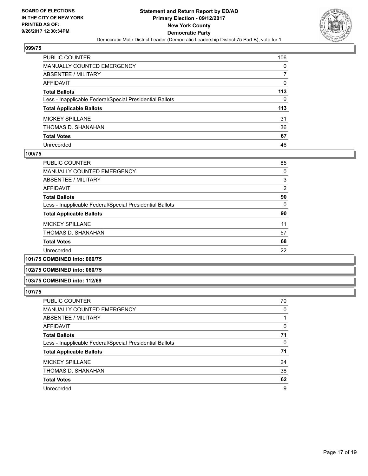

| PUBLIC COUNTER                                           | 106 |
|----------------------------------------------------------|-----|
| <b>MANUALLY COUNTED EMERGENCY</b>                        | 0   |
| <b>ABSENTEE / MILITARY</b>                               | 7   |
| <b>AFFIDAVIT</b>                                         | 0   |
| <b>Total Ballots</b>                                     | 113 |
| Less - Inapplicable Federal/Special Presidential Ballots | 0   |
| <b>Total Applicable Ballots</b>                          | 113 |
| <b>MICKEY SPILLANE</b>                                   | 31  |
| THOMAS D. SHANAHAN                                       | 36  |
| <b>Total Votes</b>                                       | 67  |
| Unrecorded                                               | 46  |

### **100/75**

| PUBLIC COUNTER                                           | 85             |
|----------------------------------------------------------|----------------|
| <b>MANUALLY COUNTED EMERGENCY</b>                        | 0              |
| ABSENTEE / MILITARY                                      | 3              |
| <b>AFFIDAVIT</b>                                         | $\overline{2}$ |
| <b>Total Ballots</b>                                     | 90             |
| Less - Inapplicable Federal/Special Presidential Ballots | 0              |
| <b>Total Applicable Ballots</b>                          | 90             |
| <b>MICKEY SPILLANE</b>                                   | 11             |
| THOMAS D. SHANAHAN                                       | 57             |
| <b>Total Votes</b>                                       | 68             |
| Unrecorded                                               | 22             |
| __ _ _ _                                                 |                |

#### **101/75 COMBINED into: 060/75**

#### **102/75 COMBINED into: 060/75**

#### **103/75 COMBINED into: 112/69**

| <b>PUBLIC COUNTER</b>                                    | 70 |
|----------------------------------------------------------|----|
| MANUALLY COUNTED EMERGENCY                               | 0  |
| ABSENTEE / MILITARY                                      |    |
| AFFIDAVIT                                                | 0  |
| <b>Total Ballots</b>                                     | 71 |
| Less - Inapplicable Federal/Special Presidential Ballots | 0  |
| <b>Total Applicable Ballots</b>                          | 71 |
| <b>MICKEY SPILLANE</b>                                   | 24 |
| THOMAS D. SHANAHAN                                       | 38 |
| <b>Total Votes</b>                                       | 62 |
| Unrecorded                                               | 9  |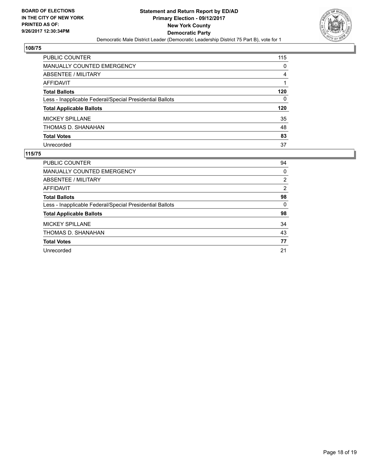

| PUBLIC COUNTER                                           | 115 |
|----------------------------------------------------------|-----|
| <b>MANUALLY COUNTED EMERGENCY</b>                        | 0   |
| <b>ABSENTEE / MILITARY</b>                               | 4   |
| <b>AFFIDAVIT</b>                                         |     |
| <b>Total Ballots</b>                                     | 120 |
| Less - Inapplicable Federal/Special Presidential Ballots | 0   |
| <b>Total Applicable Ballots</b>                          | 120 |
| <b>MICKEY SPILLANE</b>                                   | 35  |
| THOMAS D. SHANAHAN                                       | 48  |
| <b>Total Votes</b>                                       | 83  |
| Unrecorded                                               | 37  |

| <b>PUBLIC COUNTER</b>                                    | 94             |
|----------------------------------------------------------|----------------|
| MANUALLY COUNTED EMERGENCY                               | 0              |
| ABSENTEE / MILITARY                                      | 2              |
| AFFIDAVIT                                                | $\overline{2}$ |
| <b>Total Ballots</b>                                     | 98             |
| Less - Inapplicable Federal/Special Presidential Ballots | 0              |
| <b>Total Applicable Ballots</b>                          | 98             |
| <b>MICKEY SPILLANE</b>                                   | 34             |
| THOMAS D. SHANAHAN                                       | 43             |
| <b>Total Votes</b>                                       | 77             |
| Unrecorded                                               | 21             |